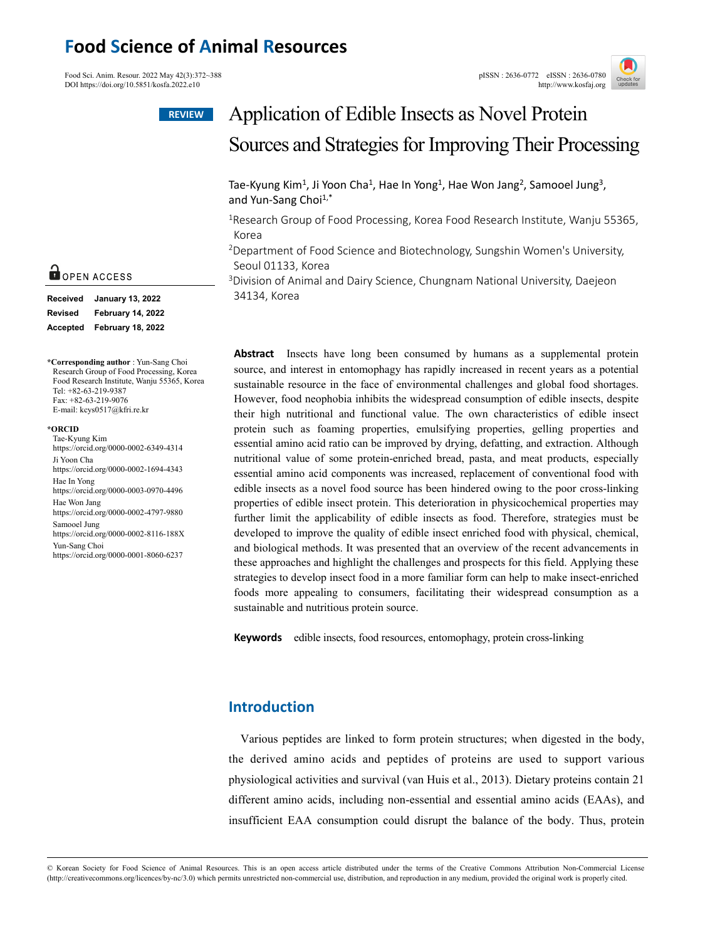# **Food Science of Animal Resources**

Food Sci. Anim. Resour. 2022 May 42(3):372~388 pISSN : 2636-0772 eISSN : 2636-0772 eISSN : 2636-0780 pISSN : 2636-0772 eISSN : 2636-0780 pISSN : 2636-0772 eISSN : 2636-0780 DOI https://doi.org/10.5851/kosfa.2022.e10





# Application of Edible Insects as Novel Protein Sources and Strategies for Improving Their Processing

Tae-Kyung Kim<sup>1</sup>, Ji Yoon Cha<sup>1</sup>, Hae In Yong<sup>1</sup>, Hae Won Jang<sup>2</sup>, Samooel Jung<sup>3</sup>, and Yun-Sang Choi<sup>1,\*</sup>

<sup>1</sup>Research Group of Food Processing, Korea Food Research Institute, Wanju 55365, Korea

2Department of Food Science and Biotechnology, Sungshin Women's University, Seoul 01133, Korea

<sup>3</sup>Division of Animal and Dairy Science, Chungnam National University, Daejeon 34134, Korea

**Abstract** Insects have long been consumed by humans as a supplemental protein source, and interest in entomophagy has rapidly increased in recent years as a potential sustainable resource in the face of environmental challenges and global food shortages. However, food neophobia inhibits the widespread consumption of edible insects, despite their high nutritional and functional value. The own characteristics of edible insect protein such as foaming properties, emulsifying properties, gelling properties and essential amino acid ratio can be improved by drying, defatting, and extraction. Although nutritional value of some protein-enriched bread, pasta, and meat products, especially essential amino acid components was increased, replacement of conventional food with edible insects as a novel food source has been hindered owing to the poor cross-linking properties of edible insect protein. This deterioration in physicochemical properties may further limit the applicability of edible insects as food. Therefore, strategies must be developed to improve the quality of edible insect enriched food with physical, chemical, and biological methods. It was presented that an overview of the recent advancements in these approaches and highlight the challenges and prospects for this field. Applying these strategies to develop insect food in a more familiar form can help to make insect-enriched foods more appealing to consumers, facilitating their widespread consumption as a sustainable and nutritious protein source.

**Keywords** edible insects, food resources, entomophagy, protein cross-linking

# **Introduction**

Various peptides are linked to form protein structures; when digested in the body, the derived amino acids and peptides of proteins are used to support various physiological activities and survival (van Huis et al., 2013). Dietary proteins contain 21 different amino acids, including non-essential and essential amino acids (EAAs), and insufficient EAA consumption could disrupt the balance of the body. Thus, protein

# OPEN ACCESS

| <b>Received</b> | <b>January 13, 2022</b>  |  |  |
|-----------------|--------------------------|--|--|
| <b>Revised</b>  | <b>February 14, 2022</b> |  |  |
| Accepted        | <b>February 18, 2022</b> |  |  |

**\*Corresponding author** : Yun-Sang Choi Research Group of Food Processing, Korea Food Research Institute, Wanju 55365, Korea Tel: +82-63-219-9387 Fax: +82-63-219-9076 E-mail: kcys0517@kfri.re.kr

#### **\*ORCID**

Tae-Kyung Kim https://orcid.org/0000-0002-6349-4314 Ji Yoon Cha https://orcid.org/0000-0002-1694-4343 Hae In Yong https://orcid.org/0000-0003-0970-4496 Hae Won Jang https://orcid.org/0000-0002-4797-9880 Samooel Jung https://orcid.org/0000-0002-8116-188X Yun-Sang Choi https://orcid.org/0000-0001-8060-6237

<sup>©</sup> Korean Society for Food Science of Animal Resources. This is an open access article distributed under the terms of the Creative Commons Attribution Non-Commercial License (http://creativecommons.org/licences/by-nc/3.0) which permits unrestricted non-commercial use, distribution, and reproduction in any medium, provided the original work is properly cited.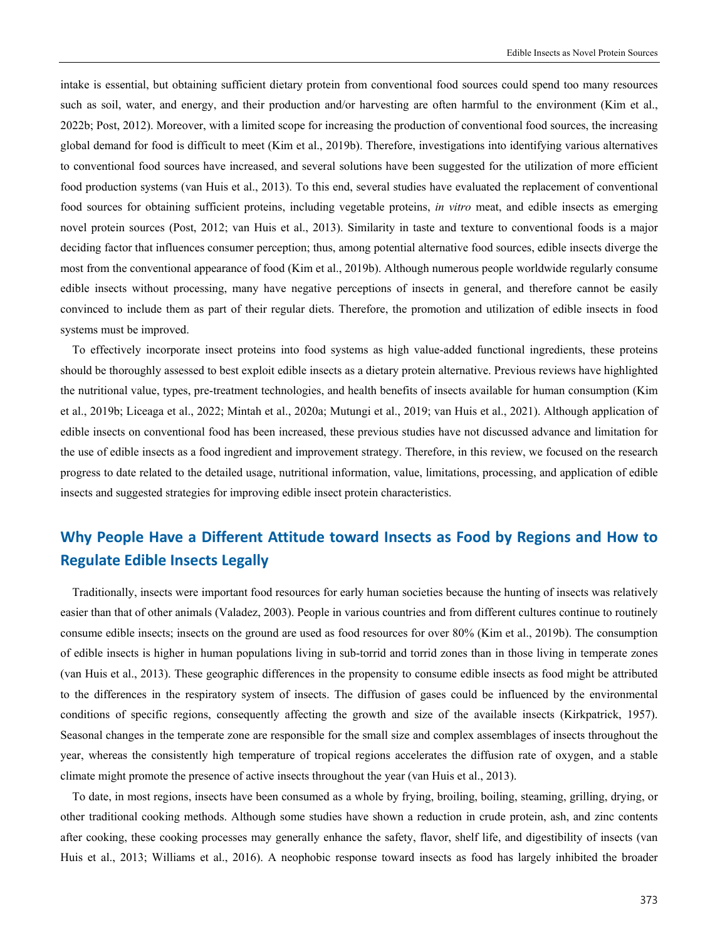intake is essential, but obtaining sufficient dietary protein from conventional food sources could spend too many resources such as soil, water, and energy, and their production and/or harvesting are often harmful to the environment (Kim et al., 2022b; Post, 2012). Moreover, with a limited scope for increasing the production of conventional food sources, the increasing global demand for food is difficult to meet (Kim et al., 2019b). Therefore, investigations into identifying various alternatives to conventional food sources have increased, and several solutions have been suggested for the utilization of more efficient food production systems (van Huis et al., 2013). To this end, several studies have evaluated the replacement of conventional food sources for obtaining sufficient proteins, including vegetable proteins, *in vitro* meat, and edible insects as emerging novel protein sources (Post, 2012; van Huis et al., 2013). Similarity in taste and texture to conventional foods is a major deciding factor that influences consumer perception; thus, among potential alternative food sources, edible insects diverge the most from the conventional appearance of food (Kim et al., 2019b). Although numerous people worldwide regularly consume edible insects without processing, many have negative perceptions of insects in general, and therefore cannot be easily convinced to include them as part of their regular diets. Therefore, the promotion and utilization of edible insects in food systems must be improved.

To effectively incorporate insect proteins into food systems as high value-added functional ingredients, these proteins should be thoroughly assessed to best exploit edible insects as a dietary protein alternative. Previous reviews have highlighted the nutritional value, types, pre-treatment technologies, and health benefits of insects available for human consumption (Kim et al., 2019b; Liceaga et al., 2022; Mintah et al., 2020a; Mutungi et al., 2019; van Huis et al., 2021). Although application of edible insects on conventional food has been increased, these previous studies have not discussed advance and limitation for the use of edible insects as a food ingredient and improvement strategy. Therefore, in this review, we focused on the research progress to date related to the detailed usage, nutritional information, value, limitations, processing, and application of edible insects and suggested strategies for improving edible insect protein characteristics.

# **Why People Have a Different Attitude toward Insects as Food by Regions and How to Regulate Edible Insects Legally**

Traditionally, insects were important food resources for early human societies because the hunting of insects was relatively easier than that of other animals (Valadez, 2003). People in various countries and from different cultures continue to routinely consume edible insects; insects on the ground are used as food resources for over 80% (Kim et al., 2019b). The consumption of edible insects is higher in human populations living in sub-torrid and torrid zones than in those living in temperate zones (van Huis et al., 2013). These geographic differences in the propensity to consume edible insects as food might be attributed to the differences in the respiratory system of insects. The diffusion of gases could be influenced by the environmental conditions of specific regions, consequently affecting the growth and size of the available insects (Kirkpatrick, 1957). Seasonal changes in the temperate zone are responsible for the small size and complex assemblages of insects throughout the year, whereas the consistently high temperature of tropical regions accelerates the diffusion rate of oxygen, and a stable climate might promote the presence of active insects throughout the year (van Huis et al., 2013).

To date, in most regions, insects have been consumed as a whole by frying, broiling, boiling, steaming, grilling, drying, or other traditional cooking methods. Although some studies have shown a reduction in crude protein, ash, and zinc contents after cooking, these cooking processes may generally enhance the safety, flavor, shelf life, and digestibility of insects (van Huis et al., 2013; Williams et al., 2016). A neophobic response toward insects as food has largely inhibited the broader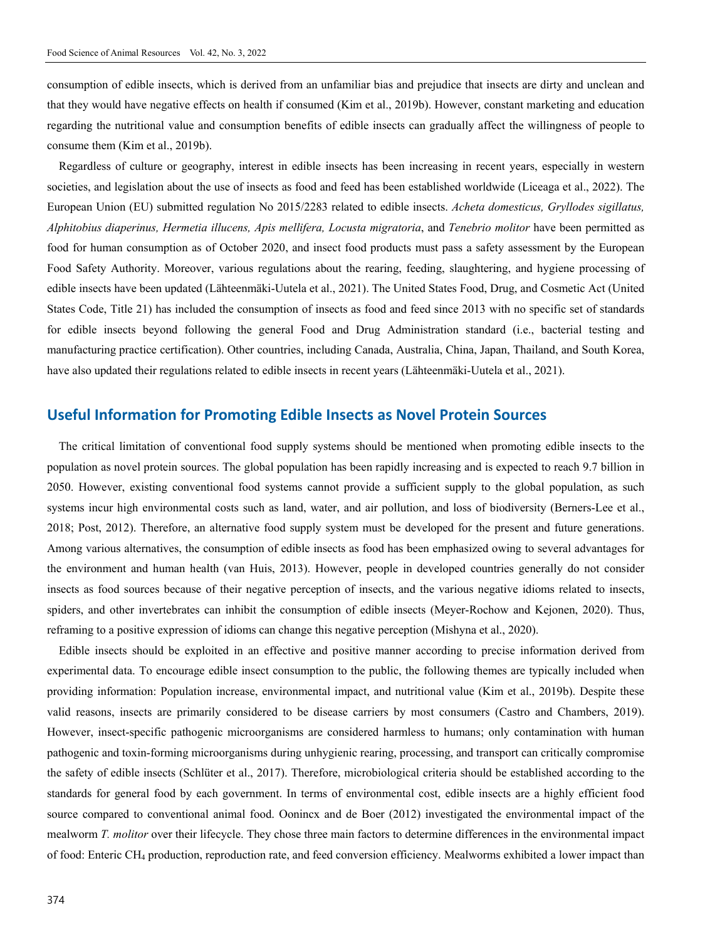consumption of edible insects, which is derived from an unfamiliar bias and prejudice that insects are dirty and unclean and that they would have negative effects on health if consumed (Kim et al., 2019b). However, constant marketing and education regarding the nutritional value and consumption benefits of edible insects can gradually affect the willingness of people to consume them (Kim et al., 2019b).

Regardless of culture or geography, interest in edible insects has been increasing in recent years, especially in western societies, and legislation about the use of insects as food and feed has been established worldwide (Liceaga et al., 2022). The European Union (EU) submitted regulation No 2015/2283 related to edible insects. *Acheta domesticus, Gryllodes sigillatus, Alphitobius diaperinus, Hermetia illucens, Apis mellifera, Locusta migratoria*, and *Tenebrio molitor* have been permitted as food for human consumption as of October 2020, and insect food products must pass a safety assessment by the European Food Safety Authority. Moreover, various regulations about the rearing, feeding, slaughtering, and hygiene processing of edible insects have been updated (Lähteenmäki-Uutela et al., 2021). The United States Food, Drug, and Cosmetic Act (United States Code, Title 21) has included the consumption of insects as food and feed since 2013 with no specific set of standards for edible insects beyond following the general Food and Drug Administration standard (i.e., bacterial testing and manufacturing practice certification). Other countries, including Canada, Australia, China, Japan, Thailand, and South Korea, have also updated their regulations related to edible insects in recent years (Lähteenmäki-Uutela et al., 2021).

# **Useful Information for Promoting Edible Insects as Novel Protein Sources**

The critical limitation of conventional food supply systems should be mentioned when promoting edible insects to the population as novel protein sources. The global population has been rapidly increasing and is expected to reach 9.7 billion in 2050. However, existing conventional food systems cannot provide a sufficient supply to the global population, as such systems incur high environmental costs such as land, water, and air pollution, and loss of biodiversity (Berners-Lee et al., 2018; Post, 2012). Therefore, an alternative food supply system must be developed for the present and future generations. Among various alternatives, the consumption of edible insects as food has been emphasized owing to several advantages for the environment and human health (van Huis, 2013). However, people in developed countries generally do not consider insects as food sources because of their negative perception of insects, and the various negative idioms related to insects, spiders, and other invertebrates can inhibit the consumption of edible insects (Meyer-Rochow and Kejonen, 2020). Thus, reframing to a positive expression of idioms can change this negative perception (Mishyna et al., 2020).

Edible insects should be exploited in an effective and positive manner according to precise information derived from experimental data. To encourage edible insect consumption to the public, the following themes are typically included when providing information: Population increase, environmental impact, and nutritional value (Kim et al., 2019b). Despite these valid reasons, insects are primarily considered to be disease carriers by most consumers (Castro and Chambers, 2019). However, insect-specific pathogenic microorganisms are considered harmless to humans; only contamination with human pathogenic and toxin-forming microorganisms during unhygienic rearing, processing, and transport can critically compromise the safety of edible insects (Schlüter et al., 2017). Therefore, microbiological criteria should be established according to the standards for general food by each government. In terms of environmental cost, edible insects are a highly efficient food source compared to conventional animal food. Oonincx and de Boer (2012) investigated the environmental impact of the mealworm *T. molitor* over their lifecycle. They chose three main factors to determine differences in the environmental impact of food: Enteric CH4 production, reproduction rate, and feed conversion efficiency. Mealworms exhibited a lower impact than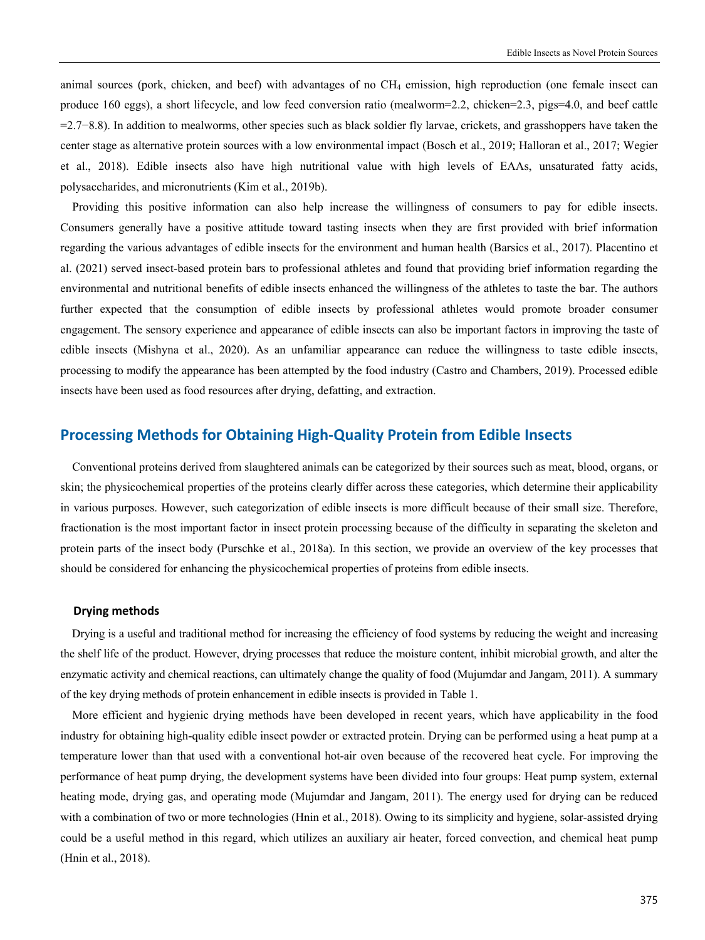animal sources (pork, chicken, and beef) with advantages of no CH4 emission, high reproduction (one female insect can produce 160 eggs), a short lifecycle, and low feed conversion ratio (mealworm=2.2, chicken=2.3, pigs=4.0, and beef cattle =2.7−8.8). In addition to mealworms, other species such as black soldier fly larvae, crickets, and grasshoppers have taken the center stage as alternative protein sources with a low environmental impact (Bosch et al., 2019; Halloran et al., 2017; Wegier et al., 2018). Edible insects also have high nutritional value with high levels of EAAs, unsaturated fatty acids, polysaccharides, and micronutrients (Kim et al., 2019b).

Providing this positive information can also help increase the willingness of consumers to pay for edible insects. Consumers generally have a positive attitude toward tasting insects when they are first provided with brief information regarding the various advantages of edible insects for the environment and human health (Barsics et al., 2017). Placentino et al. (2021) served insect-based protein bars to professional athletes and found that providing brief information regarding the environmental and nutritional benefits of edible insects enhanced the willingness of the athletes to taste the bar. The authors further expected that the consumption of edible insects by professional athletes would promote broader consumer engagement. The sensory experience and appearance of edible insects can also be important factors in improving the taste of edible insects (Mishyna et al., 2020). As an unfamiliar appearance can reduce the willingness to taste edible insects, processing to modify the appearance has been attempted by the food industry (Castro and Chambers, 2019). Processed edible insects have been used as food resources after drying, defatting, and extraction.

# **Processing Methods for Obtaining High-Quality Protein from Edible Insects**

Conventional proteins derived from slaughtered animals can be categorized by their sources such as meat, blood, organs, or skin; the physicochemical properties of the proteins clearly differ across these categories, which determine their applicability in various purposes. However, such categorization of edible insects is more difficult because of their small size. Therefore, fractionation is the most important factor in insect protein processing because of the difficulty in separating the skeleton and protein parts of the insect body (Purschke et al., 2018a). In this section, we provide an overview of the key processes that should be considered for enhancing the physicochemical properties of proteins from edible insects.

#### **Drying methods**

Drying is a useful and traditional method for increasing the efficiency of food systems by reducing the weight and increasing the shelf life of the product. However, drying processes that reduce the moisture content, inhibit microbial growth, and alter the enzymatic activity and chemical reactions, can ultimately change the quality of food (Mujumdar and Jangam, 2011). A summary of the key drying methods of protein enhancement in edible insects is provided in Table 1.

More efficient and hygienic drying methods have been developed in recent years, which have applicability in the food industry for obtaining high-quality edible insect powder or extracted protein. Drying can be performed using a heat pump at a temperature lower than that used with a conventional hot-air oven because of the recovered heat cycle. For improving the performance of heat pump drying, the development systems have been divided into four groups: Heat pump system, external heating mode, drying gas, and operating mode (Mujumdar and Jangam, 2011). The energy used for drying can be reduced with a combination of two or more technologies (Hnin et al., 2018). Owing to its simplicity and hygiene, solar-assisted drying could be a useful method in this regard, which utilizes an auxiliary air heater, forced convection, and chemical heat pump (Hnin et al., 2018).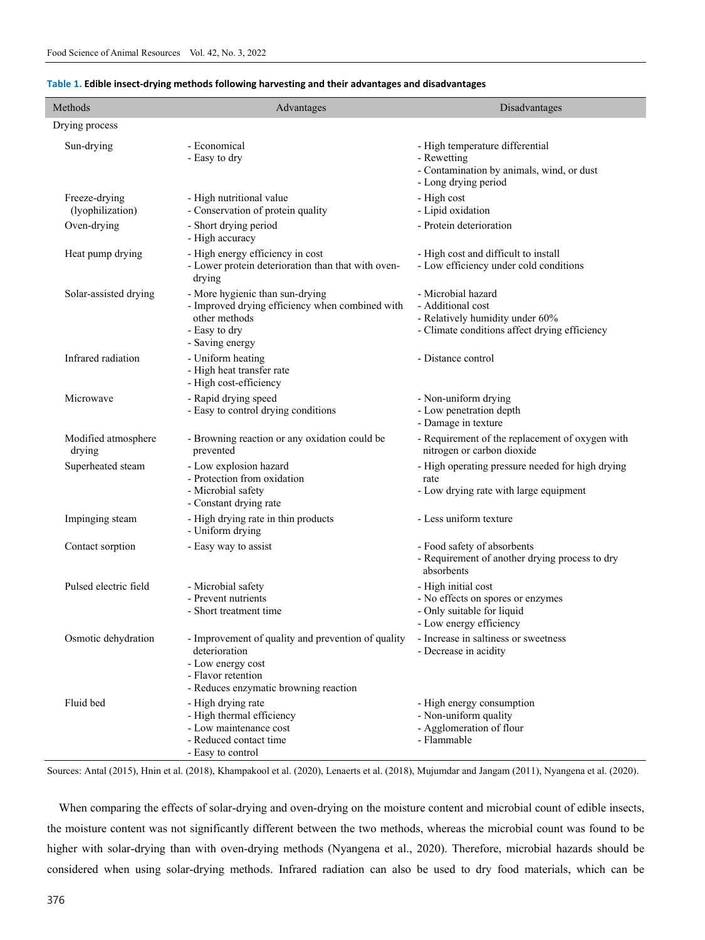| Methods                           | Advantages                                                                                                                                              | Disadvantages                                                                                                               |
|-----------------------------------|---------------------------------------------------------------------------------------------------------------------------------------------------------|-----------------------------------------------------------------------------------------------------------------------------|
| Drying process                    |                                                                                                                                                         |                                                                                                                             |
| Sun-drying                        | - Economical<br>- Easy to dry                                                                                                                           | - High temperature differential<br>- Rewetting<br>- Contamination by animals, wind, or dust<br>- Long drying period         |
| Freeze-drying<br>(lyophilization) | - High nutritional value<br>- Conservation of protein quality                                                                                           | - High cost<br>- Lipid oxidation                                                                                            |
| Oven-drying                       | - Short drying period<br>- High accuracy                                                                                                                | - Protein deterioration                                                                                                     |
| Heat pump drying                  | - High energy efficiency in cost<br>- Lower protein deterioration than that with oven-<br>drying                                                        | - High cost and difficult to install<br>- Low efficiency under cold conditions                                              |
| Solar-assisted drying             | - More hygienic than sun-drying<br>- Improved drying efficiency when combined with<br>other methods<br>- Easy to dry<br>- Saving energy                 | - Microbial hazard<br>- Additional cost<br>- Relatively humidity under 60%<br>- Climate conditions affect drying efficiency |
| Infrared radiation                | - Uniform heating<br>- High heat transfer rate<br>- High cost-efficiency                                                                                | - Distance control                                                                                                          |
| Microwave                         | - Rapid drying speed<br>- Easy to control drying conditions                                                                                             | - Non-uniform drying<br>- Low penetration depth<br>- Damage in texture                                                      |
| Modified atmosphere<br>drying     | - Browning reaction or any oxidation could be<br>prevented                                                                                              | - Requirement of the replacement of oxygen with<br>nitrogen or carbon dioxide                                               |
| Superheated steam                 | - Low explosion hazard<br>- Protection from oxidation<br>- Microbial safety<br>- Constant drying rate                                                   | - High operating pressure needed for high drying<br>rate<br>- Low drying rate with large equipment                          |
| Impinging steam                   | - High drying rate in thin products<br>- Uniform drying                                                                                                 | - Less uniform texture                                                                                                      |
| Contact sorption                  | - Easy way to assist                                                                                                                                    | - Food safety of absorbents<br>- Requirement of another drying process to dry<br>absorbents                                 |
| Pulsed electric field             | - Microbial safety<br>- Prevent nutrients<br>- Short treatment time                                                                                     | - High initial cost<br>- No effects on spores or enzymes<br>- Only suitable for liquid<br>- Low energy efficiency           |
| Osmotic dehydration               | - Improvement of quality and prevention of quality<br>deterioration<br>- Low energy cost<br>- Flavor retention<br>- Reduces enzymatic browning reaction | - Increase in saltiness or sweetness<br>- Decrease in acidity                                                               |
| Fluid bed                         | - High drying rate<br>- High thermal efficiency<br>- Low maintenance cost<br>- Reduced contact time<br>- Easy to control                                | - High energy consumption<br>- Non-uniform quality<br>- Agglomeration of flour<br>- Flammable                               |

#### **Table 1. Edible insect-drying methods following harvesting and their advantages and disadvantages**

Sources: Antal (2015), Hnin et al. (2018), Khampakool et al. (2020), Lenaerts et al. (2018), Mujumdar and Jangam (2011), Nyangena et al. (2020).

When comparing the effects of solar-drying and oven-drying on the moisture content and microbial count of edible insects, the moisture content was not significantly different between the two methods, whereas the microbial count was found to be higher with solar-drying than with oven-drying methods (Nyangena et al., 2020). Therefore, microbial hazards should be considered when using solar-drying methods. Infrared radiation can also be used to dry food materials, which can be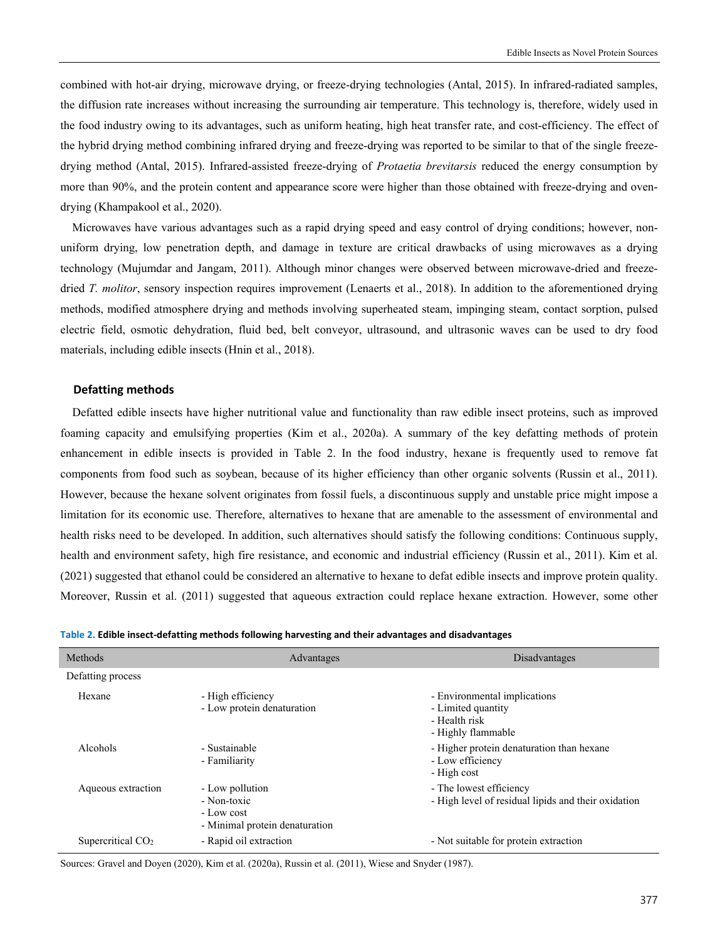combined with hot-air drying, microwave drying, or freeze-drying technologies (Antal, 2015). In infrared-radiated samples, the diffusion rate increases without increasing the surrounding air temperature. This technology is, therefore, widely used in the food industry owing to its advantages, such as uniform heating, high heat transfer rate, and cost-efficiency. The effect of the hybrid drying method combining infrared drying and freeze-drying was reported to be similar to that of the single freezedrying method (Antal, 2015). Infrared-assisted freeze-drying of *Protaetia brevitarsis* reduced the energy consumption by more than 90%, and the protein content and appearance score were higher than those obtained with freeze-drying and ovendrying (Khampakool et al., 2020).

Microwaves have various advantages such as a rapid drying speed and easy control of drying conditions; however, nonuniform drying, low penetration depth, and damage in texture are critical drawbacks of using microwaves as a drying technology (Mujumdar and Jangam, 2011). Although minor changes were observed between microwave-dried and freezedried *T. molitor*, sensory inspection requires improvement (Lenaerts et al., 2018). In addition to the aforementioned drying methods, modified atmosphere drying and methods involving superheated steam, impinging steam, contact sorption, pulsed electric field, osmotic dehydration, fluid bed, belt conveyor, ultrasound, and ultrasonic waves can be used to dry food materials, including edible insects (Hnin et al., 2018).

#### **Defatting methods**

Defatted edible insects have higher nutritional value and functionality than raw edible insect proteins, such as improved foaming capacity and emulsifying properties (Kim et al., 2020a). A summary of the key defatting methods of protein enhancement in edible insects is provided in Table 2. In the food industry, hexane is frequently used to remove fat components from food such as soybean, because of its higher efficiency than other organic solvents (Russin et al., 2011). However, because the hexane solvent originates from fossil fuels, a discontinuous supply and unstable price might impose a limitation for its economic use. Therefore, alternatives to hexane that are amenable to the assessment of environmental and health risks need to be developed. In addition, such alternatives should satisfy the following conditions: Continuous supply, health and environment safety, high fire resistance, and economic and industrial efficiency (Russin et al., 2011). Kim et al. (2021) suggested that ethanol could be considered an alternative to hexane to defat edible insects and improve protein quality. Moreover, Russin et al. (2011) suggested that aqueous extraction could replace hexane extraction. However, some other

| Methods             | Advantages                                                                     | Disadvantages                                                                             |  |
|---------------------|--------------------------------------------------------------------------------|-------------------------------------------------------------------------------------------|--|
| Defatting process   |                                                                                |                                                                                           |  |
| Hexane              | - High efficiency<br>- Low protein denaturation                                | - Environmental implications<br>- Limited quantity<br>- Health risk<br>- Highly flammable |  |
| Alcohols            | - Sustainable<br>- Familiarity                                                 | - Higher protein denaturation than hexane<br>- Low efficiency<br>- High cost              |  |
| Aqueous extraction  | - Low pollution<br>- Non-toxic<br>- Low cost<br>- Minimal protein denaturation | - The lowest efficiency<br>- High level of residual lipids and their oxidation            |  |
| Supercritical $CO2$ | - Rapid oil extraction                                                         | - Not suitable for protein extraction                                                     |  |

| Table 2. Edible insect-defatting methods following harvesting and their advantages and disadvantages |  |  |
|------------------------------------------------------------------------------------------------------|--|--|
|------------------------------------------------------------------------------------------------------|--|--|

Sources: Gravel and Doyen (2020), Kim et al. (2020a), Russin et al. (2011), Wiese and Snyder (1987).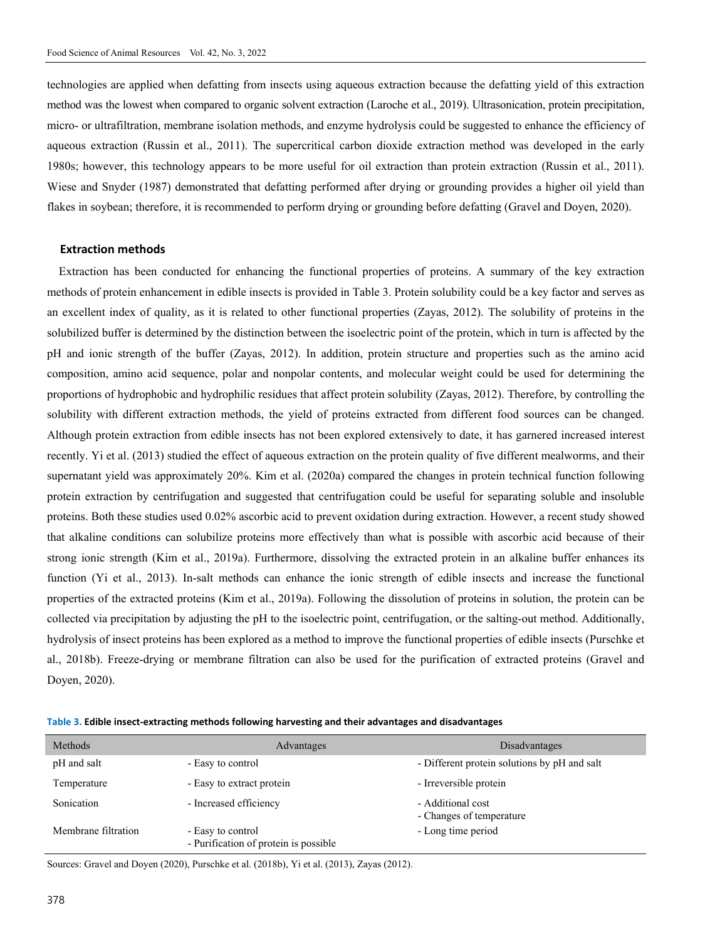technologies are applied when defatting from insects using aqueous extraction because the defatting yield of this extraction method was the lowest when compared to organic solvent extraction (Laroche et al., 2019). Ultrasonication, protein precipitation, micro- or ultrafiltration, membrane isolation methods, and enzyme hydrolysis could be suggested to enhance the efficiency of aqueous extraction (Russin et al., 2011). The supercritical carbon dioxide extraction method was developed in the early 1980s; however, this technology appears to be more useful for oil extraction than protein extraction (Russin et al., 2011). Wiese and Snyder (1987) demonstrated that defatting performed after drying or grounding provides a higher oil yield than flakes in soybean; therefore, it is recommended to perform drying or grounding before defatting (Gravel and Doyen, 2020).

#### **Extraction methods**

Extraction has been conducted for enhancing the functional properties of proteins. A summary of the key extraction methods of protein enhancement in edible insects is provided in Table 3. Protein solubility could be a key factor and serves as an excellent index of quality, as it is related to other functional properties (Zayas, 2012). The solubility of proteins in the solubilized buffer is determined by the distinction between the isoelectric point of the protein, which in turn is affected by the pH and ionic strength of the buffer (Zayas, 2012). In addition, protein structure and properties such as the amino acid composition, amino acid sequence, polar and nonpolar contents, and molecular weight could be used for determining the proportions of hydrophobic and hydrophilic residues that affect protein solubility (Zayas, 2012). Therefore, by controlling the solubility with different extraction methods, the yield of proteins extracted from different food sources can be changed. Although protein extraction from edible insects has not been explored extensively to date, it has garnered increased interest recently. Yi et al. (2013) studied the effect of aqueous extraction on the protein quality of five different mealworms, and their supernatant yield was approximately 20%. Kim et al. (2020a) compared the changes in protein technical function following protein extraction by centrifugation and suggested that centrifugation could be useful for separating soluble and insoluble proteins. Both these studies used 0.02% ascorbic acid to prevent oxidation during extraction. However, a recent study showed that alkaline conditions can solubilize proteins more effectively than what is possible with ascorbic acid because of their strong ionic strength (Kim et al., 2019a). Furthermore, dissolving the extracted protein in an alkaline buffer enhances its function (Yi et al., 2013). In-salt methods can enhance the ionic strength of edible insects and increase the functional properties of the extracted proteins (Kim et al., 2019a). Following the dissolution of proteins in solution, the protein can be collected via precipitation by adjusting the pH to the isoelectric point, centrifugation, or the salting-out method. Additionally, hydrolysis of insect proteins has been explored as a method to improve the functional properties of edible insects (Purschke et al., 2018b). Freeze-drying or membrane filtration can also be used for the purification of extracted proteins (Gravel and Doyen, 2020).

| Table 3. Edible insect-extracting methods following harvesting and their advantages and disadvantages |  |  |  |
|-------------------------------------------------------------------------------------------------------|--|--|--|
|-------------------------------------------------------------------------------------------------------|--|--|--|

| Methods             | Advantages                                                 | Disadvantages                                 |
|---------------------|------------------------------------------------------------|-----------------------------------------------|
| pH and salt         | - Easy to control                                          | - Different protein solutions by pH and salt  |
| Temperature         | - Easy to extract protein                                  | - Irreversible protein                        |
| Sonication          | - Increased efficiency                                     | - Additional cost<br>- Changes of temperature |
| Membrane filtration | - Easy to control<br>- Purification of protein is possible | - Long time period                            |

Sources: Gravel and Doyen (2020), Purschke et al. (2018b), Yi et al. (2013), Zayas (2012).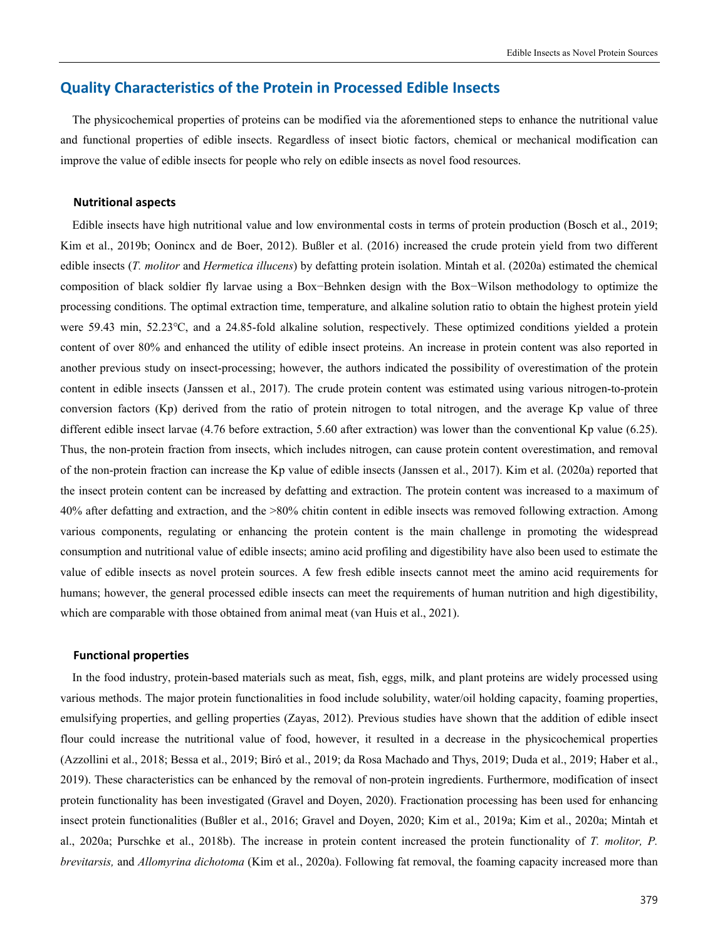# **Quality Characteristics of the Protein in Processed Edible Insects**

The physicochemical properties of proteins can be modified via the aforementioned steps to enhance the nutritional value and functional properties of edible insects. Regardless of insect biotic factors, chemical or mechanical modification can improve the value of edible insects for people who rely on edible insects as novel food resources.

#### **Nutritional aspects**

Edible insects have high nutritional value and low environmental costs in terms of protein production (Bosch et al., 2019; Kim et al., 2019b; Oonincx and de Boer, 2012). Bußler et al. (2016) increased the crude protein yield from two different edible insects (*T. molitor* and *Hermetica illucens*) by defatting protein isolation. Mintah et al. (2020a) estimated the chemical composition of black soldier fly larvae using a Box−Behnken design with the Box−Wilson methodology to optimize the processing conditions. The optimal extraction time, temperature, and alkaline solution ratio to obtain the highest protein yield were 59.43 min, 52.23℃, and a 24.85-fold alkaline solution, respectively. These optimized conditions yielded a protein content of over 80% and enhanced the utility of edible insect proteins. An increase in protein content was also reported in another previous study on insect-processing; however, the authors indicated the possibility of overestimation of the protein content in edible insects (Janssen et al., 2017). The crude protein content was estimated using various nitrogen-to-protein conversion factors (Kp) derived from the ratio of protein nitrogen to total nitrogen, and the average Kp value of three different edible insect larvae (4.76 before extraction, 5.60 after extraction) was lower than the conventional Kp value (6.25). Thus, the non-protein fraction from insects, which includes nitrogen, can cause protein content overestimation, and removal of the non-protein fraction can increase the Kp value of edible insects (Janssen et al., 2017). Kim et al. (2020a) reported that the insect protein content can be increased by defatting and extraction. The protein content was increased to a maximum of 40% after defatting and extraction, and the >80% chitin content in edible insects was removed following extraction. Among various components, regulating or enhancing the protein content is the main challenge in promoting the widespread consumption and nutritional value of edible insects; amino acid profiling and digestibility have also been used to estimate the value of edible insects as novel protein sources. A few fresh edible insects cannot meet the amino acid requirements for humans; however, the general processed edible insects can meet the requirements of human nutrition and high digestibility, which are comparable with those obtained from animal meat (van Huis et al., 2021).

#### **Functional properties**

In the food industry, protein-based materials such as meat, fish, eggs, milk, and plant proteins are widely processed using various methods. The major protein functionalities in food include solubility, water/oil holding capacity, foaming properties, emulsifying properties, and gelling properties (Zayas, 2012). Previous studies have shown that the addition of edible insect flour could increase the nutritional value of food, however, it resulted in a decrease in the physicochemical properties (Azzollini et al., 2018; Bessa et al., 2019; Biró et al., 2019; da Rosa Machado and Thys, 2019; Duda et al., 2019; Haber et al., 2019). These characteristics can be enhanced by the removal of non-protein ingredients. Furthermore, modification of insect protein functionality has been investigated (Gravel and Doyen, 2020). Fractionation processing has been used for enhancing insect protein functionalities (Bußler et al., 2016; Gravel and Doyen, 2020; Kim et al., 2019a; Kim et al., 2020a; Mintah et al., 2020a; Purschke et al., 2018b). The increase in protein content increased the protein functionality of *T. molitor, P. brevitarsis,* and *Allomyrina dichotoma* (Kim et al., 2020a). Following fat removal, the foaming capacity increased more than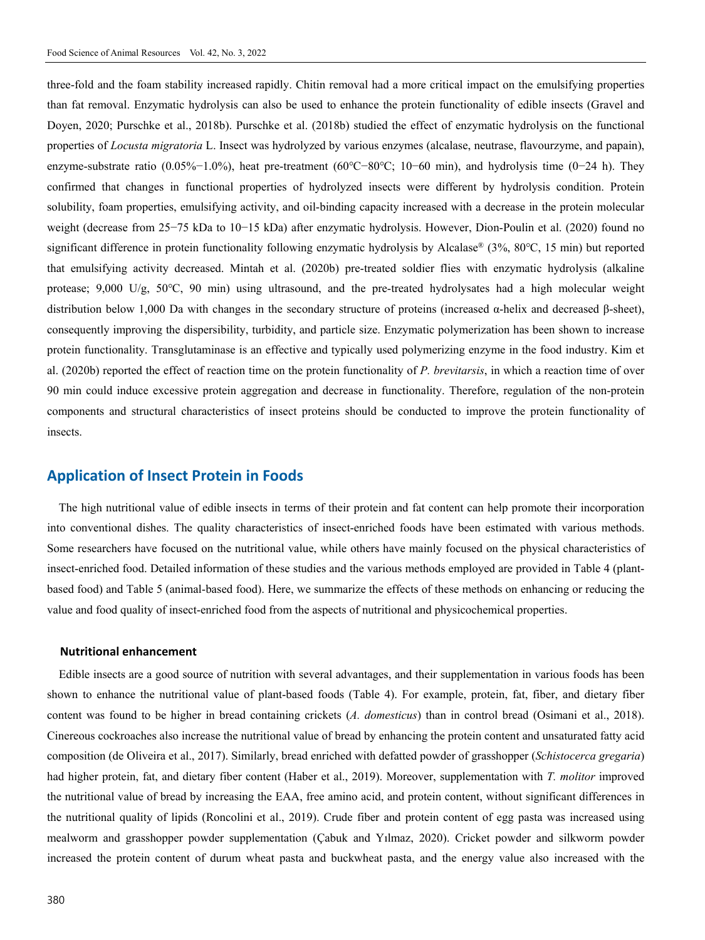three-fold and the foam stability increased rapidly. Chitin removal had a more critical impact on the emulsifying properties than fat removal. Enzymatic hydrolysis can also be used to enhance the protein functionality of edible insects (Gravel and Doyen, 2020; Purschke et al., 2018b). Purschke et al. (2018b) studied the effect of enzymatic hydrolysis on the functional properties of *Locusta migratoria* L. Insect was hydrolyzed by various enzymes (alcalase, neutrase, flavourzyme, and papain), enzyme-substrate ratio (0.05%−1.0%), heat pre-treatment (60℃−80℃; 10−60 min), and hydrolysis time (0−24 h). They confirmed that changes in functional properties of hydrolyzed insects were different by hydrolysis condition. Protein solubility, foam properties, emulsifying activity, and oil-binding capacity increased with a decrease in the protein molecular weight (decrease from 25−75 kDa to 10−15 kDa) after enzymatic hydrolysis. However, Dion-Poulin et al. (2020) found no significant difference in protein functionality following enzymatic hydrolysis by Alcalase® (3%, 80℃, 15 min) but reported that emulsifying activity decreased. Mintah et al. (2020b) pre-treated soldier flies with enzymatic hydrolysis (alkaline protease; 9,000 U/g, 50℃, 90 min) using ultrasound, and the pre-treated hydrolysates had a high molecular weight distribution below 1,000 Da with changes in the secondary structure of proteins (increased α-helix and decreased β-sheet), consequently improving the dispersibility, turbidity, and particle size. Enzymatic polymerization has been shown to increase protein functionality. Transglutaminase is an effective and typically used polymerizing enzyme in the food industry. Kim et al. (2020b) reported the effect of reaction time on the protein functionality of *P. brevitarsis*, in which a reaction time of over 90 min could induce excessive protein aggregation and decrease in functionality. Therefore, regulation of the non-protein components and structural characteristics of insect proteins should be conducted to improve the protein functionality of insects.

### **Application of Insect Protein in Foods**

The high nutritional value of edible insects in terms of their protein and fat content can help promote their incorporation into conventional dishes. The quality characteristics of insect-enriched foods have been estimated with various methods. Some researchers have focused on the nutritional value, while others have mainly focused on the physical characteristics of insect-enriched food. Detailed information of these studies and the various methods employed are provided in Table 4 (plantbased food) and Table 5 (animal-based food). Here, we summarize the effects of these methods on enhancing or reducing the value and food quality of insect-enriched food from the aspects of nutritional and physicochemical properties.

#### **Nutritional enhancement**

Edible insects are a good source of nutrition with several advantages, and their supplementation in various foods has been shown to enhance the nutritional value of plant-based foods (Table 4). For example, protein, fat, fiber, and dietary fiber content was found to be higher in bread containing crickets (*A. domesticus*) than in control bread (Osimani et al., 2018). Cinereous cockroaches also increase the nutritional value of bread by enhancing the protein content and unsaturated fatty acid composition (de Oliveira et al., 2017). Similarly, bread enriched with defatted powder of grasshopper (*Schistocerca gregaria*) had higher protein, fat, and dietary fiber content (Haber et al., 2019). Moreover, supplementation with *T. molitor* improved the nutritional value of bread by increasing the EAA, free amino acid, and protein content, without significant differences in the nutritional quality of lipids (Roncolini et al., 2019). Crude fiber and protein content of egg pasta was increased using mealworm and grasshopper powder supplementation (Çabuk and Yılmaz, 2020). Cricket powder and silkworm powder increased the protein content of durum wheat pasta and buckwheat pasta, and the energy value also increased with the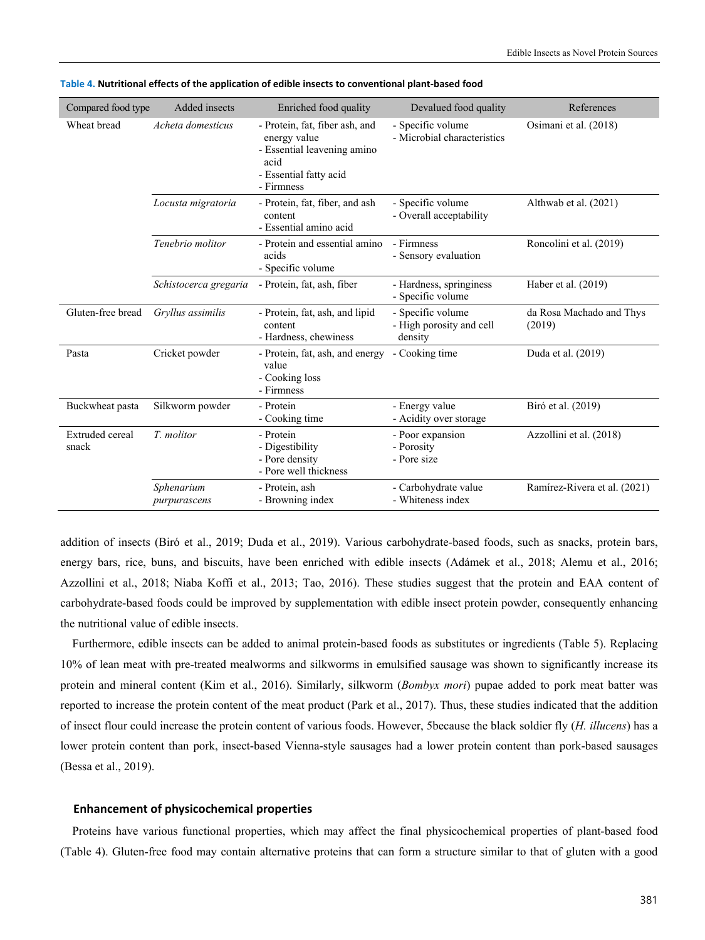| Compared food type              | Added insects              | Enriched food quality                                                                                                         | Devalued food quality                                    | References                         |
|---------------------------------|----------------------------|-------------------------------------------------------------------------------------------------------------------------------|----------------------------------------------------------|------------------------------------|
| Wheat bread                     | Acheta domesticus          | - Protein, fat, fiber ash, and<br>energy value<br>- Essential leavening amino<br>acid<br>- Essential fatty acid<br>- Firmness | - Specific volume<br>- Microbial characteristics         | Osimani et al. (2018)              |
|                                 | Locusta migratoria         | - Protein, fat, fiber, and ash<br>content<br>- Essential amino acid                                                           | - Specific volume<br>- Overall acceptability             | Althwab et al. (2021)              |
|                                 | Tenebrio molitor           | - Protein and essential amino<br>acids<br>- Specific volume                                                                   | - Firmness<br>- Sensory evaluation                       | Roncolini et al. (2019)            |
|                                 | Schistocerca gregaria      | - Protein, fat, ash, fiber                                                                                                    | - Hardness, springiness<br>- Specific volume             | Haber et al. (2019)                |
| Gluten-free bread               | Gryllus assimilis          | - Protein, fat, ash, and lipid<br>content<br>- Hardness, chewiness                                                            | - Specific volume<br>- High porosity and cell<br>density | da Rosa Machado and Thys<br>(2019) |
| Pasta                           | Cricket powder             | - Protein, fat, ash, and energy<br>value<br>- Cooking loss<br>- Firmness                                                      | - Cooking time                                           | Duda et al. (2019)                 |
| Buckwheat pasta                 | Silkworm powder            | - Protein<br>- Cooking time                                                                                                   | - Energy value<br>- Acidity over storage                 | Biró et al. (2019)                 |
| <b>Extruded</b> cereal<br>snack | T. molitor                 | - Protein<br>- Digestibility<br>- Pore density<br>- Pore well thickness                                                       | - Poor expansion<br>- Porosity<br>- Pore size            | Azzollini et al. (2018)            |
|                                 | Sphenarium<br>purpurascens | - Protein, ash<br>- Browning index                                                                                            | - Carbohydrate value<br>- Whiteness index                | Ramírez-Rivera et al. (2021)       |

|  | Table 4. Nutritional effects of the application of edible insects to conventional plant-based food |
|--|----------------------------------------------------------------------------------------------------|
|--|----------------------------------------------------------------------------------------------------|

addition of insects (Biró et al., 2019; Duda et al., 2019). Various carbohydrate-based foods, such as snacks, protein bars, energy bars, rice, buns, and biscuits, have been enriched with edible insects (Adámek et al., 2018; Alemu et al., 2016; Azzollini et al., 2018; Niaba Koffi et al., 2013; Tao, 2016). These studies suggest that the protein and EAA content of carbohydrate-based foods could be improved by supplementation with edible insect protein powder, consequently enhancing the nutritional value of edible insects.

Furthermore, edible insects can be added to animal protein-based foods as substitutes or ingredients (Table 5). Replacing 10% of lean meat with pre-treated mealworms and silkworms in emulsified sausage was shown to significantly increase its protein and mineral content (Kim et al., 2016). Similarly, silkworm (*Bombyx mori*) pupae added to pork meat batter was reported to increase the protein content of the meat product (Park et al., 2017). Thus, these studies indicated that the addition of insect flour could increase the protein content of various foods. However, 5because the black soldier fly (*H. illucens*) has a lower protein content than pork, insect-based Vienna-style sausages had a lower protein content than pork-based sausages (Bessa et al., 2019).

#### **Enhancement of physicochemical properties**

Proteins have various functional properties, which may affect the final physicochemical properties of plant-based food (Table 4). Gluten-free food may contain alternative proteins that can form a structure similar to that of gluten with a good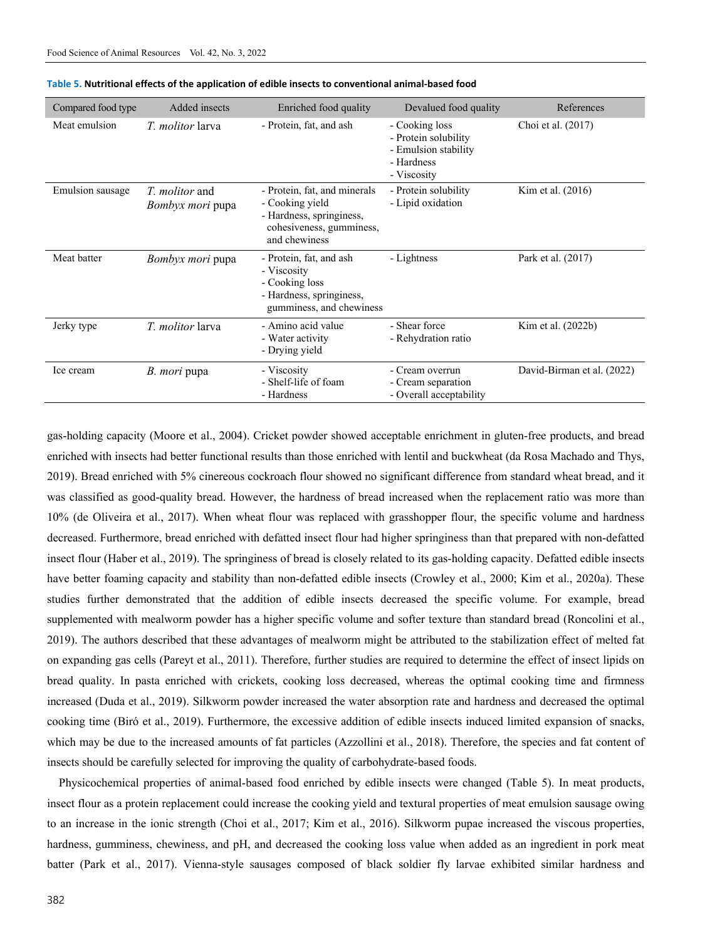| Compared food type | Added insects                             | Enriched food quality                                                                                                    | Devalued food quality                                                                       | References                 |
|--------------------|-------------------------------------------|--------------------------------------------------------------------------------------------------------------------------|---------------------------------------------------------------------------------------------|----------------------------|
| Meat emulsion      | <i>T. molitor</i> larva                   | - Protein, fat, and ash                                                                                                  | - Cooking loss<br>- Protein solubility<br>- Emulsion stability<br>- Hardness<br>- Viscosity | Choi et al. (2017)         |
| Emulsion sausage   | <i>T. molitor</i> and<br>Bombyx mori pupa | - Protein, fat, and minerals<br>- Cooking yield<br>- Hardness, springiness,<br>cohesiveness, gumminess,<br>and chewiness | - Protein solubility<br>- Lipid oxidation                                                   | Kim et al. (2016)          |
| Meat batter        | <i>Bombyx mori</i> pupa                   | - Protein, fat, and ash<br>- Viscosity<br>- Cooking loss<br>- Hardness, springiness,<br>gumminess, and chewiness         | - Lightness                                                                                 | Park et al. (2017)         |
| Jerky type         | <i>T. molitor</i> larva                   | - Amino acid value<br>- Water activity<br>- Drying yield                                                                 | - Shear force<br>- Rehydration ratio                                                        | Kim et al. (2022b)         |
| Ice cream          | <i>B. mori</i> pupa                       | - Viscosity<br>- Shelf-life of foam<br>- Hardness                                                                        | - Cream overrun<br>- Cream separation<br>- Overall acceptability                            | David-Birman et al. (2022) |

#### **Table 5. Nutritional effects of the application of edible insects to conventional animal-based food**

gas-holding capacity (Moore et al., 2004). Cricket powder showed acceptable enrichment in gluten-free products, and bread enriched with insects had better functional results than those enriched with lentil and buckwheat (da Rosa Machado and Thys, 2019). Bread enriched with 5% cinereous cockroach flour showed no significant difference from standard wheat bread, and it was classified as good-quality bread. However, the hardness of bread increased when the replacement ratio was more than 10% (de Oliveira et al., 2017). When wheat flour was replaced with grasshopper flour, the specific volume and hardness decreased. Furthermore, bread enriched with defatted insect flour had higher springiness than that prepared with non-defatted insect flour (Haber et al., 2019). The springiness of bread is closely related to its gas-holding capacity. Defatted edible insects have better foaming capacity and stability than non-defatted edible insects (Crowley et al., 2000; Kim et al., 2020a). These studies further demonstrated that the addition of edible insects decreased the specific volume. For example, bread supplemented with mealworm powder has a higher specific volume and softer texture than standard bread (Roncolini et al., 2019). The authors described that these advantages of mealworm might be attributed to the stabilization effect of melted fat on expanding gas cells (Pareyt et al., 2011). Therefore, further studies are required to determine the effect of insect lipids on bread quality. In pasta enriched with crickets, cooking loss decreased, whereas the optimal cooking time and firmness increased (Duda et al., 2019). Silkworm powder increased the water absorption rate and hardness and decreased the optimal cooking time (Biró et al., 2019). Furthermore, the excessive addition of edible insects induced limited expansion of snacks, which may be due to the increased amounts of fat particles (Azzollini et al., 2018). Therefore, the species and fat content of insects should be carefully selected for improving the quality of carbohydrate-based foods.

Physicochemical properties of animal-based food enriched by edible insects were changed (Table 5). In meat products, insect flour as a protein replacement could increase the cooking yield and textural properties of meat emulsion sausage owing to an increase in the ionic strength (Choi et al., 2017; Kim et al., 2016). Silkworm pupae increased the viscous properties, hardness, gumminess, chewiness, and pH, and decreased the cooking loss value when added as an ingredient in pork meat batter (Park et al., 2017). Vienna-style sausages composed of black soldier fly larvae exhibited similar hardness and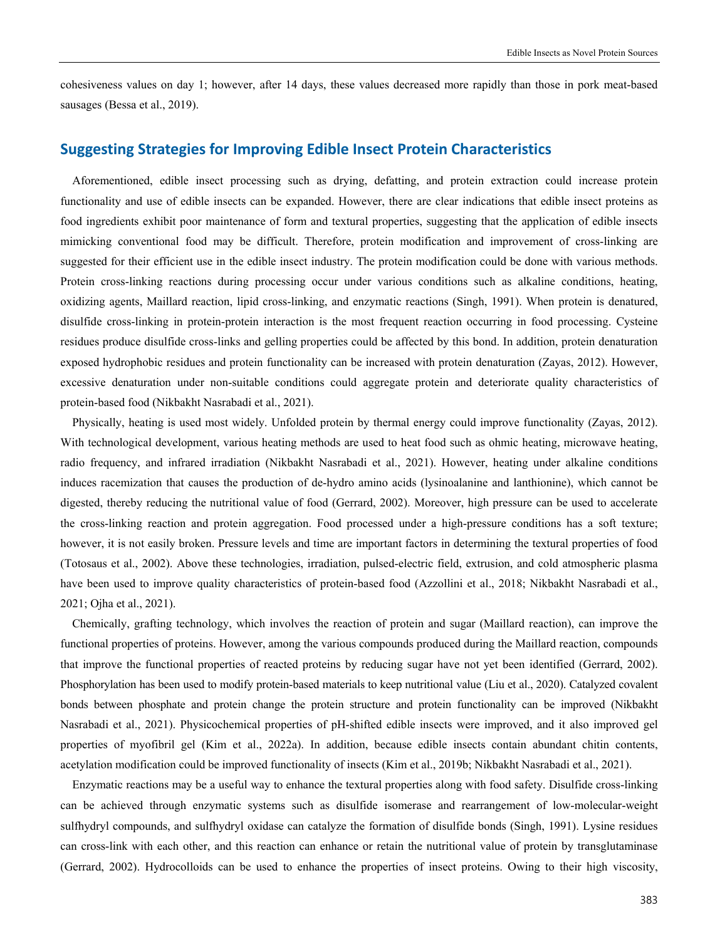cohesiveness values on day 1; however, after 14 days, these values decreased more rapidly than those in pork meat-based sausages (Bessa et al., 2019).

# **Suggesting Strategies for Improving Edible Insect Protein Characteristics**

Aforementioned, edible insect processing such as drying, defatting, and protein extraction could increase protein functionality and use of edible insects can be expanded. However, there are clear indications that edible insect proteins as food ingredients exhibit poor maintenance of form and textural properties, suggesting that the application of edible insects mimicking conventional food may be difficult. Therefore, protein modification and improvement of cross-linking are suggested for their efficient use in the edible insect industry. The protein modification could be done with various methods. Protein cross-linking reactions during processing occur under various conditions such as alkaline conditions, heating, oxidizing agents, Maillard reaction, lipid cross-linking, and enzymatic reactions (Singh, 1991). When protein is denatured, disulfide cross-linking in protein-protein interaction is the most frequent reaction occurring in food processing. Cysteine residues produce disulfide cross-links and gelling properties could be affected by this bond. In addition, protein denaturation exposed hydrophobic residues and protein functionality can be increased with protein denaturation (Zayas, 2012). However, excessive denaturation under non-suitable conditions could aggregate protein and deteriorate quality characteristics of protein-based food (Nikbakht Nasrabadi et al., 2021).

Physically, heating is used most widely. Unfolded protein by thermal energy could improve functionality (Zayas, 2012). With technological development, various heating methods are used to heat food such as ohmic heating, microwave heating, radio frequency, and infrared irradiation (Nikbakht Nasrabadi et al., 2021). However, heating under alkaline conditions induces racemization that causes the production of de-hydro amino acids (lysinoalanine and lanthionine), which cannot be digested, thereby reducing the nutritional value of food (Gerrard, 2002). Moreover, high pressure can be used to accelerate the cross-linking reaction and protein aggregation. Food processed under a high-pressure conditions has a soft texture; however, it is not easily broken. Pressure levels and time are important factors in determining the textural properties of food (Totosaus et al., 2002). Above these technologies, irradiation, pulsed-electric field, extrusion, and cold atmospheric plasma have been used to improve quality characteristics of protein-based food (Azzollini et al., 2018; Nikbakht Nasrabadi et al., 2021; Ojha et al., 2021).

Chemically, grafting technology, which involves the reaction of protein and sugar (Maillard reaction), can improve the functional properties of proteins. However, among the various compounds produced during the Maillard reaction, compounds that improve the functional properties of reacted proteins by reducing sugar have not yet been identified (Gerrard, 2002). Phosphorylation has been used to modify protein-based materials to keep nutritional value (Liu et al., 2020). Catalyzed covalent bonds between phosphate and protein change the protein structure and protein functionality can be improved (Nikbakht Nasrabadi et al., 2021). Physicochemical properties of pH-shifted edible insects were improved, and it also improved gel properties of myofibril gel (Kim et al., 2022a). In addition, because edible insects contain abundant chitin contents, acetylation modification could be improved functionality of insects (Kim et al., 2019b; Nikbakht Nasrabadi et al., 2021).

Enzymatic reactions may be a useful way to enhance the textural properties along with food safety. Disulfide cross-linking can be achieved through enzymatic systems such as disulfide isomerase and rearrangement of low-molecular-weight sulfhydryl compounds, and sulfhydryl oxidase can catalyze the formation of disulfide bonds (Singh, 1991). Lysine residues can cross-link with each other, and this reaction can enhance or retain the nutritional value of protein by transglutaminase (Gerrard, 2002). Hydrocolloids can be used to enhance the properties of insect proteins. Owing to their high viscosity,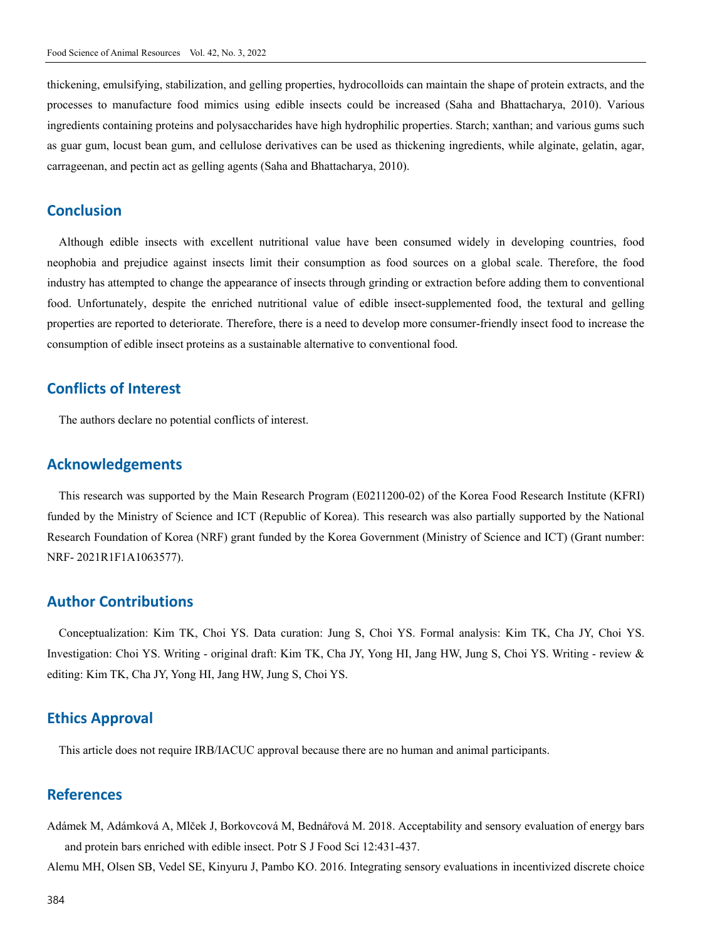thickening, emulsifying, stabilization, and gelling properties, hydrocolloids can maintain the shape of protein extracts, and the processes to manufacture food mimics using edible insects could be increased (Saha and Bhattacharya, 2010). Various ingredients containing proteins and polysaccharides have high hydrophilic properties. Starch; xanthan; and various gums such as guar gum, locust bean gum, and cellulose derivatives can be used as thickening ingredients, while alginate, gelatin, agar, carrageenan, and pectin act as gelling agents (Saha and Bhattacharya, 2010).

### **Conclusion**

Although edible insects with excellent nutritional value have been consumed widely in developing countries, food neophobia and prejudice against insects limit their consumption as food sources on a global scale. Therefore, the food industry has attempted to change the appearance of insects through grinding or extraction before adding them to conventional food. Unfortunately, despite the enriched nutritional value of edible insect-supplemented food, the textural and gelling properties are reported to deteriorate. Therefore, there is a need to develop more consumer-friendly insect food to increase the consumption of edible insect proteins as a sustainable alternative to conventional food.

# **Conflicts of Interest**

The authors declare no potential conflicts of interest.

# **Acknowledgements**

This research was supported by the Main Research Program (E0211200-02) of the Korea Food Research Institute (KFRI) funded by the Ministry of Science and ICT (Republic of Korea). This research was also partially supported by the National Research Foundation of Korea (NRF) grant funded by the Korea Government (Ministry of Science and ICT) (Grant number: NRF- 2021R1F1A1063577).

## **Author Contributions**

Conceptualization: Kim TK, Choi YS. Data curation: Jung S, Choi YS. Formal analysis: Kim TK, Cha JY, Choi YS. Investigation: Choi YS. Writing - original draft: Kim TK, Cha JY, Yong HI, Jang HW, Jung S, Choi YS. Writing - review & editing: Kim TK, Cha JY, Yong HI, Jang HW, Jung S, Choi YS.

## **Ethics Approval**

This article does not require IRB/IACUC approval because there are no human and animal participants.

# **References**

- Adámek M, Adámková A, Mlček J, Borkovcová M, Bednářová M. 2018. Acceptability and sensory evaluation of energy bars and protein bars enriched with edible insect. Potr S J Food Sci 12:431-437.
- Alemu MH, Olsen SB, Vedel SE, Kinyuru J, Pambo KO. 2016. Integrating sensory evaluations in incentivized discrete choice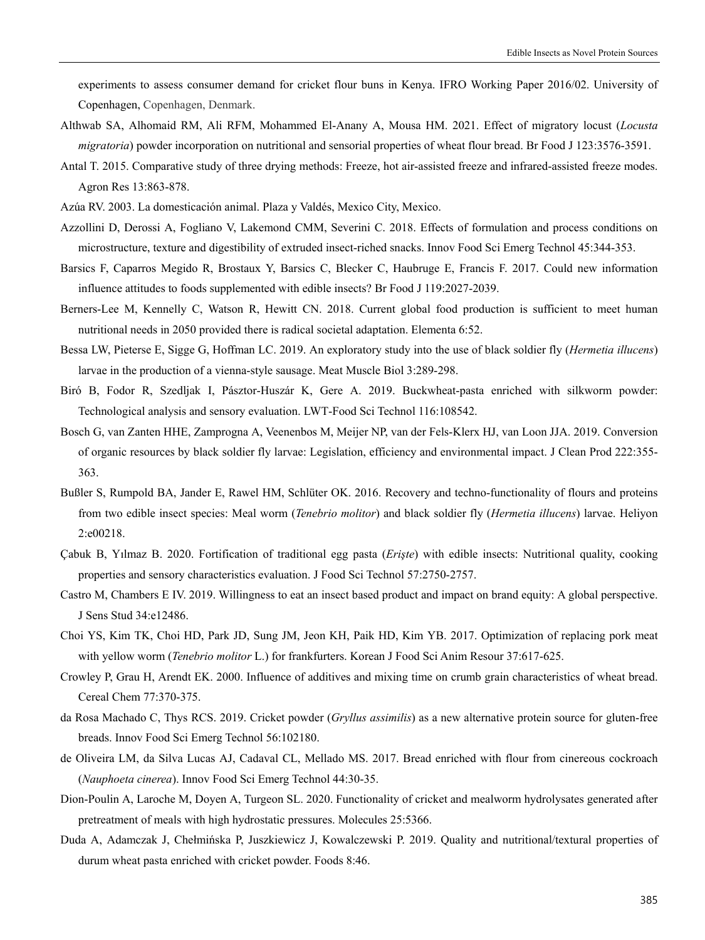experiments to assess consumer demand for cricket flour buns in Kenya. IFRO Working Paper 2016/02. University of Copenhagen, Copenhagen, Denmark.

- Althwab SA, Alhomaid RM, Ali RFM, Mohammed El-Anany A, Mousa HM. 2021. Effect of migratory locust (*Locusta migratoria*) powder incorporation on nutritional and sensorial properties of wheat flour bread. Br Food J 123:3576-3591.
- Antal T. 2015. Comparative study of three drying methods: Freeze, hot air-assisted freeze and infrared-assisted freeze modes. Agron Res 13:863-878.
- Azúa RV. 2003. La domesticación animal. Plaza y Valdés, Mexico City, Mexico.
- Azzollini D, Derossi A, Fogliano V, Lakemond CMM, Severini C. 2018. Effects of formulation and process conditions on microstructure, texture and digestibility of extruded insect-riched snacks. Innov Food Sci Emerg Technol 45:344-353.
- Barsics F, Caparros Megido R, Brostaux Y, Barsics C, Blecker C, Haubruge E, Francis F. 2017. Could new information influence attitudes to foods supplemented with edible insects? Br Food J 119:2027-2039.
- Berners-Lee M, Kennelly C, Watson R, Hewitt CN. 2018. Current global food production is sufficient to meet human nutritional needs in 2050 provided there is radical societal adaptation. Elementa 6:52.
- Bessa LW, Pieterse E, Sigge G, Hoffman LC. 2019. An exploratory study into the use of black soldier fly (*Hermetia illucens*) larvae in the production of a vienna-style sausage. Meat Muscle Biol 3:289-298.
- Biró B, Fodor R, Szedljak I, Pásztor-Huszár K, Gere A. 2019. Buckwheat-pasta enriched with silkworm powder: Technological analysis and sensory evaluation. LWT-Food Sci Technol 116:108542.
- Bosch G, van Zanten HHE, Zamprogna A, Veenenbos M, Meijer NP, van der Fels-Klerx HJ, van Loon JJA. 2019. Conversion of organic resources by black soldier fly larvae: Legislation, efficiency and environmental impact. J Clean Prod 222:355- 363.
- Bußler S, Rumpold BA, Jander E, Rawel HM, Schlüter OK. 2016. Recovery and techno-functionality of flours and proteins from two edible insect species: Meal worm (*Tenebrio molitor*) and black soldier fly (*Hermetia illucens*) larvae. Heliyon 2:e00218.
- Çabuk B, Yılmaz B. 2020. Fortification of traditional egg pasta (*Erişte*) with edible insects: Nutritional quality, cooking properties and sensory characteristics evaluation. J Food Sci Technol 57:2750-2757.
- Castro M, Chambers E IV. 2019. Willingness to eat an insect based product and impact on brand equity: A global perspective. J Sens Stud 34:e12486.
- Choi YS, Kim TK, Choi HD, Park JD, Sung JM, Jeon KH, Paik HD, Kim YB. 2017. Optimization of replacing pork meat with yellow worm (*Tenebrio molitor* L.) for frankfurters. Korean J Food Sci Anim Resour 37:617-625.
- Crowley P, Grau H, Arendt EK. 2000. Influence of additives and mixing time on crumb grain characteristics of wheat bread. Cereal Chem 77:370-375.
- da Rosa Machado C, Thys RCS. 2019. Cricket powder (*Gryllus assimilis*) as a new alternative protein source for gluten-free breads. Innov Food Sci Emerg Technol 56:102180.
- de Oliveira LM, da Silva Lucas AJ, Cadaval CL, Mellado MS. 2017. Bread enriched with flour from cinereous cockroach (*Nauphoeta cinerea*). Innov Food Sci Emerg Technol 44:30-35.
- Dion-Poulin A, Laroche M, Doyen A, Turgeon SL. 2020. Functionality of cricket and mealworm hydrolysates generated after pretreatment of meals with high hydrostatic pressures. Molecules 25:5366.
- Duda A, Adamczak J, Chełmińska P, Juszkiewicz J, Kowalczewski P. 2019. Quality and nutritional/textural properties of durum wheat pasta enriched with cricket powder. Foods 8:46.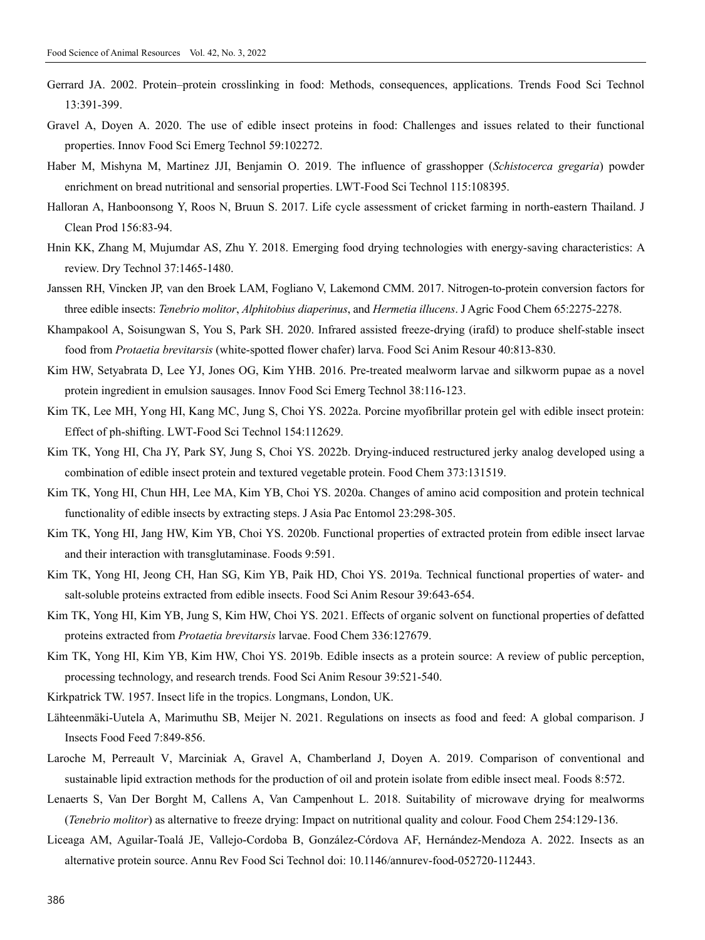- Gerrard JA. 2002. Protein–protein crosslinking in food: Methods, consequences, applications. Trends Food Sci Technol 13:391-399.
- Gravel A, Doyen A. 2020. The use of edible insect proteins in food: Challenges and issues related to their functional properties. Innov Food Sci Emerg Technol 59:102272.
- Haber M, Mishyna M, Martinez JJI, Benjamin O. 2019. The influence of grasshopper (*Schistocerca gregaria*) powder enrichment on bread nutritional and sensorial properties. LWT-Food Sci Technol 115:108395.
- Halloran A, Hanboonsong Y, Roos N, Bruun S. 2017. Life cycle assessment of cricket farming in north-eastern Thailand. J Clean Prod 156:83-94.
- Hnin KK, Zhang M, Mujumdar AS, Zhu Y. 2018. Emerging food drying technologies with energy-saving characteristics: A review. Dry Technol 37:1465-1480.
- Janssen RH, Vincken JP, van den Broek LAM, Fogliano V, Lakemond CMM. 2017. Nitrogen-to-protein conversion factors for three edible insects: *Tenebrio molitor*, *Alphitobius diaperinus*, and *Hermetia illucens*. J Agric Food Chem 65:2275-2278.
- Khampakool A, Soisungwan S, You S, Park SH. 2020. Infrared assisted freeze-drying (irafd) to produce shelf-stable insect food from *Protaetia brevitarsis* (white-spotted flower chafer) larva. Food Sci Anim Resour 40:813-830.
- Kim HW, Setyabrata D, Lee YJ, Jones OG, Kim YHB. 2016. Pre-treated mealworm larvae and silkworm pupae as a novel protein ingredient in emulsion sausages. Innov Food Sci Emerg Technol 38:116-123.
- Kim TK, Lee MH, Yong HI, Kang MC, Jung S, Choi YS. 2022a. Porcine myofibrillar protein gel with edible insect protein: Effect of ph-shifting. LWT-Food Sci Technol 154:112629.
- Kim TK, Yong HI, Cha JY, Park SY, Jung S, Choi YS. 2022b. Drying-induced restructured jerky analog developed using a combination of edible insect protein and textured vegetable protein. Food Chem 373:131519.
- Kim TK, Yong HI, Chun HH, Lee MA, Kim YB, Choi YS. 2020a. Changes of amino acid composition and protein technical functionality of edible insects by extracting steps. J Asia Pac Entomol 23:298-305.
- Kim TK, Yong HI, Jang HW, Kim YB, Choi YS. 2020b. Functional properties of extracted protein from edible insect larvae and their interaction with transglutaminase. Foods 9:591.
- Kim TK, Yong HI, Jeong CH, Han SG, Kim YB, Paik HD, Choi YS. 2019a. Technical functional properties of water- and salt-soluble proteins extracted from edible insects. Food Sci Anim Resour 39:643-654.
- Kim TK, Yong HI, Kim YB, Jung S, Kim HW, Choi YS. 2021. Effects of organic solvent on functional properties of defatted proteins extracted from *Protaetia brevitarsis* larvae. Food Chem 336:127679.
- Kim TK, Yong HI, Kim YB, Kim HW, Choi YS. 2019b. Edible insects as a protein source: A review of public perception, processing technology, and research trends. Food Sci Anim Resour 39:521-540.
- Kirkpatrick TW. 1957. Insect life in the tropics. Longmans, London, UK.
- Lähteenmäki-Uutela A, Marimuthu SB, Meijer N. 2021. Regulations on insects as food and feed: A global comparison. J Insects Food Feed 7:849-856.
- Laroche M, Perreault V, Marciniak A, Gravel A, Chamberland J, Doyen A. 2019. Comparison of conventional and sustainable lipid extraction methods for the production of oil and protein isolate from edible insect meal. Foods 8:572.
- Lenaerts S, Van Der Borght M, Callens A, Van Campenhout L. 2018. Suitability of microwave drying for mealworms (*Tenebrio molitor*) as alternative to freeze drying: Impact on nutritional quality and colour. Food Chem 254:129-136.
- Liceaga AM, Aguilar-Toalá JE, Vallejo-Cordoba B, González-Córdova AF, Hernández-Mendoza A. 2022. Insects as an alternative protein source. Annu Rev Food Sci Technol doi: 10.1146/annurev-food-052720-112443.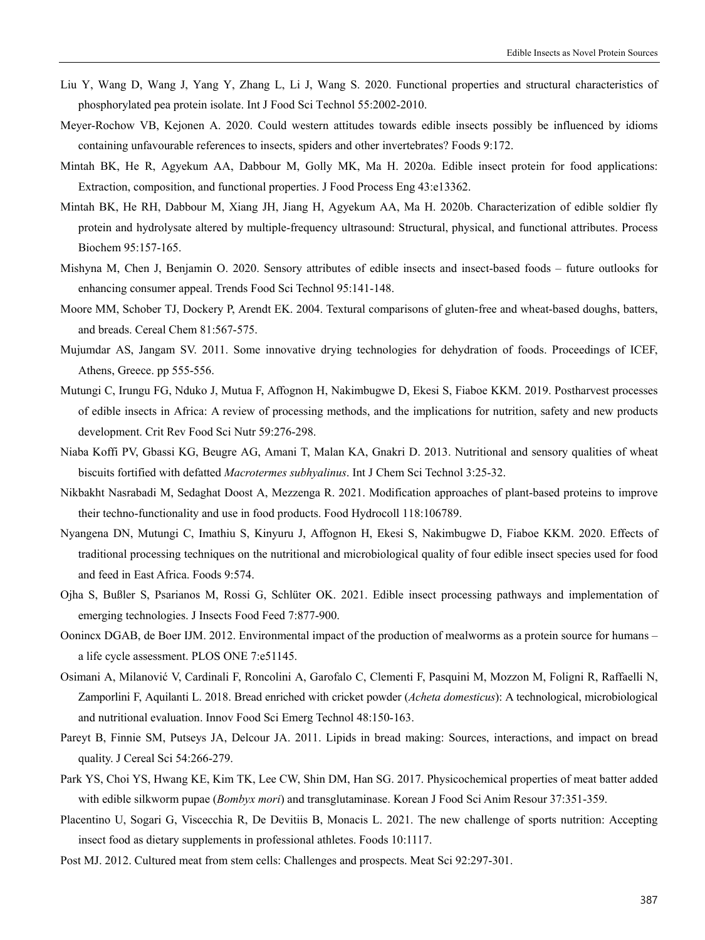- Liu Y, Wang D, Wang J, Yang Y, Zhang L, Li J, Wang S. 2020. Functional properties and structural characteristics of phosphorylated pea protein isolate. Int J Food Sci Technol 55:2002-2010.
- Meyer-Rochow VB, Kejonen A. 2020. Could western attitudes towards edible insects possibly be influenced by idioms containing unfavourable references to insects, spiders and other invertebrates? Foods 9:172.
- Mintah BK, He R, Agyekum AA, Dabbour M, Golly MK, Ma H. 2020a. Edible insect protein for food applications: Extraction, composition, and functional properties. J Food Process Eng 43:e13362.
- Mintah BK, He RH, Dabbour M, Xiang JH, Jiang H, Agyekum AA, Ma H. 2020b. Characterization of edible soldier fly protein and hydrolysate altered by multiple-frequency ultrasound: Structural, physical, and functional attributes. Process Biochem 95:157-165.
- Mishyna M, Chen J, Benjamin O. 2020. Sensory attributes of edible insects and insect-based foods future outlooks for enhancing consumer appeal. Trends Food Sci Technol 95:141-148.
- Moore MM, Schober TJ, Dockery P, Arendt EK. 2004. Textural comparisons of gluten-free and wheat-based doughs, batters, and breads. Cereal Chem 81:567-575.
- Mujumdar AS, Jangam SV. 2011. Some innovative drying technologies for dehydration of foods. Proceedings of ICEF, Athens, Greece. pp 555-556.
- Mutungi C, Irungu FG, Nduko J, Mutua F, Affognon H, Nakimbugwe D, Ekesi S, Fiaboe KKM. 2019. Postharvest processes of edible insects in Africa: A review of processing methods, and the implications for nutrition, safety and new products development. Crit Rev Food Sci Nutr 59:276-298.
- Niaba Koffi PV, Gbassi KG, Beugre AG, Amani T, Malan KA, Gnakri D. 2013. Nutritional and sensory qualities of wheat biscuits fortified with defatted *Macrotermes subhyalinus*. Int J Chem Sci Technol 3:25-32.
- Nikbakht Nasrabadi M, Sedaghat Doost A, Mezzenga R. 2021. Modification approaches of plant-based proteins to improve their techno-functionality and use in food products. Food Hydrocoll 118:106789.
- Nyangena DN, Mutungi C, Imathiu S, Kinyuru J, Affognon H, Ekesi S, Nakimbugwe D, Fiaboe KKM. 2020. Effects of traditional processing techniques on the nutritional and microbiological quality of four edible insect species used for food and feed in East Africa. Foods 9:574.
- Ojha S, Bußler S, Psarianos M, Rossi G, Schlüter OK. 2021. Edible insect processing pathways and implementation of emerging technologies. J Insects Food Feed 7:877-900.
- Oonincx DGAB, de Boer IJM. 2012. Environmental impact of the production of mealworms as a protein source for humans a life cycle assessment. PLOS ONE 7:e51145.
- Osimani A, Milanović V, Cardinali F, Roncolini A, Garofalo C, Clementi F, Pasquini M, Mozzon M, Foligni R, Raffaelli N, Zamporlini F, Aquilanti L. 2018. Bread enriched with cricket powder (*Acheta domesticus*): A technological, microbiological and nutritional evaluation. Innov Food Sci Emerg Technol 48:150-163.
- Pareyt B, Finnie SM, Putseys JA, Delcour JA. 2011. Lipids in bread making: Sources, interactions, and impact on bread quality. J Cereal Sci 54:266-279.
- Park YS, Choi YS, Hwang KE, Kim TK, Lee CW, Shin DM, Han SG. 2017. Physicochemical properties of meat batter added with edible silkworm pupae (*Bombyx mori*) and transglutaminase. Korean J Food Sci Anim Resour 37:351-359.
- Placentino U, Sogari G, Viscecchia R, De Devitiis B, Monacis L. 2021. The new challenge of sports nutrition: Accepting insect food as dietary supplements in professional athletes. Foods 10:1117.
- Post MJ. 2012. Cultured meat from stem cells: Challenges and prospects. Meat Sci 92:297-301.